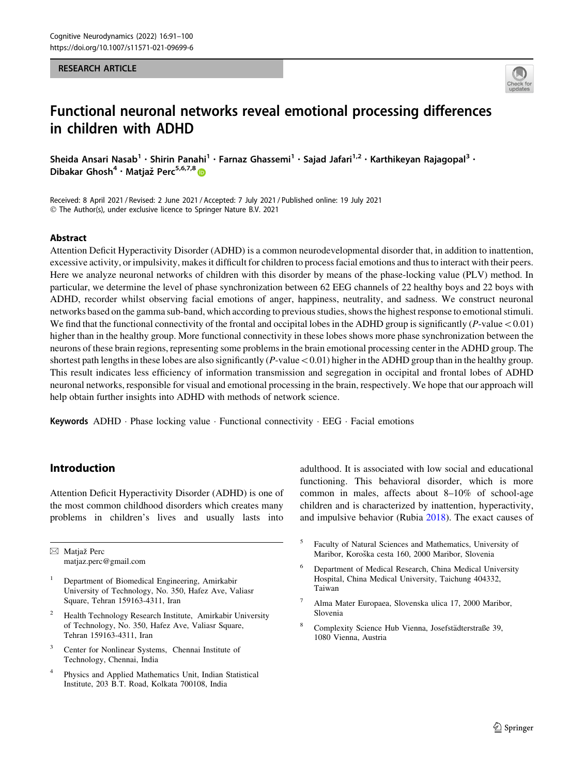#### RESEARCH ARTICLE



# Functional neuronal networks reveal emotional processing differences in children with ADHD

Sheida Ansari Nasab<sup>1</sup> • Shirin Panahi<sup>1</sup> • Farnaz Ghassemi<sup>1</sup> • Sajad Jafari<sup>1,2</sup> • Karthikeyan Rajagopal<sup>3</sup> • Dibakar Ghosh<sup>4</sup> · Matjaž Perc<sup>5,6,7,8</sup>

Received: 8 April 2021 / Revised: 2 June 2021 / Accepted: 7 July 2021 / Published online: 19 July 2021 © The Author(s), under exclusive licence to Springer Nature B.V. 2021

## Abstract

Attention Deficit Hyperactivity Disorder (ADHD) is a common neurodevelopmental disorder that, in addition to inattention, excessive activity, or impulsivity, makes it difficult for children to process facial emotions and thus to interact with their peers. Here we analyze neuronal networks of children with this disorder by means of the phase-locking value (PLV) method. In particular, we determine the level of phase synchronization between 62 EEG channels of 22 healthy boys and 22 boys with ADHD, recorder whilst observing facial emotions of anger, happiness, neutrality, and sadness. We construct neuronal networks based on the gamma sub-band, which according to previous studies, shows the highest response to emotional stimuli. We find that the functional connectivity of the frontal and occipital lobes in the ADHD group is significantly  $(P$ -value  $< 0.01$ ) higher than in the healthy group. More functional connectivity in these lobes shows more phase synchronization between the neurons of these brain regions, representing some problems in the brain emotional processing center in the ADHD group. The shortest path lengths in these lobes are also significantly  $(P$ -value  $\lt 0.01)$  higher in the ADHD group than in the healthy group. This result indicates less efficiency of information transmission and segregation in occipital and frontal lobes of ADHD neuronal networks, responsible for visual and emotional processing in the brain, respectively. We hope that our approach will help obtain further insights into ADHD with methods of network science.

Keywords ADHD · Phase locking value · Functional connectivity · EEG · Facial emotions

## Introduction

Attention Deficit Hyperactivity Disorder (ADHD) is one of the most common childhood disorders which creates many problems in children's lives and usually lasts into

& Matjazˇ Perc matjaz.perc@gmail.com

- <sup>1</sup> Department of Biomedical Engineering, Amirkabir University of Technology, No. 350, Hafez Ave, Valiasr Square, Tehran 159163-4311, Iran
- <sup>2</sup> Health Technology Research Institute, Amirkabir University of Technology, No. 350, Hafez Ave, Valiasr Square, Tehran 159163-4311, Iran
- <sup>3</sup> Center for Nonlinear Systems, Chennai Institute of Technology, Chennai, India
- <sup>4</sup> Physics and Applied Mathematics Unit, Indian Statistical Institute, 203 B.T. Road, Kolkata 700108, India

adulthood. It is associated with low social and educational functioning. This behavioral disorder, which is more common in males, affects about 8–10% of school-age children and is characterized by inattention, hyperactivity, and impulsive behavior (Rubia [2018\)](#page-9-0). The exact causes of

- <sup>5</sup> Faculty of Natural Sciences and Mathematics, University of Maribor, Koroška cesta 160, 2000 Maribor, Slovenia
- <sup>6</sup> Department of Medical Research, China Medical University Hospital, China Medical University, Taichung 404332, Taiwan
- <sup>7</sup> Alma Mater Europaea, Slovenska ulica 17, 2000 Maribor, Slovenia
- <sup>8</sup> Complexity Science Hub Vienna, Josefstädterstraße 39, 1080 Vienna, Austria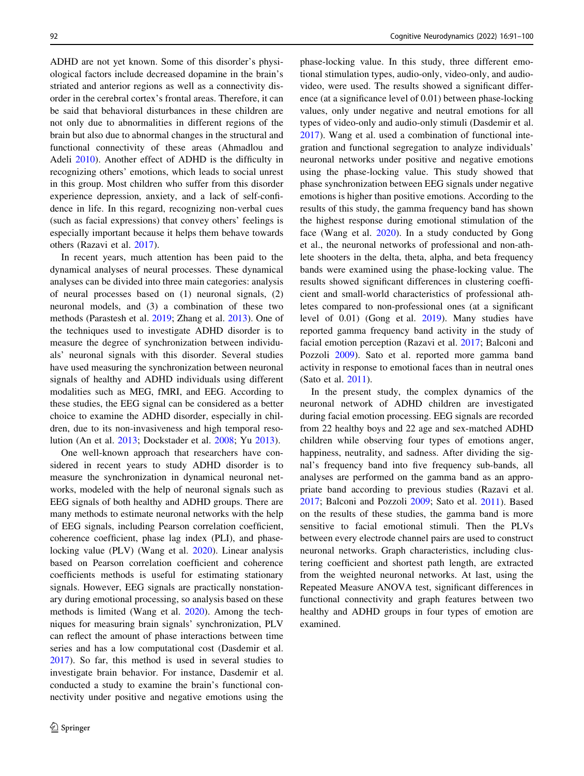ADHD are not yet known. Some of this disorder's physiological factors include decreased dopamine in the brain's striated and anterior regions as well as a connectivity disorder in the cerebral cortex's frontal areas. Therefore, it can be said that behavioral disturbances in these children are not only due to abnormalities in different regions of the brain but also due to abnormal changes in the structural and functional connectivity of these areas (Ahmadlou and Adeli [2010](#page-8-0)). Another effect of ADHD is the difficulty in recognizing others' emotions, which leads to social unrest in this group. Most children who suffer from this disorder experience depression, anxiety, and a lack of self-confidence in life. In this regard, recognizing non-verbal cues (such as facial expressions) that convey others' feelings is especially important because it helps them behave towards others (Razavi et al. [2017\)](#page-9-0).

In recent years, much attention has been paid to the dynamical analyses of neural processes. These dynamical analyses can be divided into three main categories: analysis of neural processes based on (1) neuronal signals, (2) neuronal models, and (3) a combination of these two methods (Parastesh et al. [2019](#page-9-0); Zhang et al. [2013\)](#page-9-0). One of the techniques used to investigate ADHD disorder is to measure the degree of synchronization between individuals' neuronal signals with this disorder. Several studies have used measuring the synchronization between neuronal signals of healthy and ADHD individuals using different modalities such as MEG, fMRI, and EEG. According to these studies, the EEG signal can be considered as a better choice to examine the ADHD disorder, especially in children, due to its non-invasiveness and high temporal resolution (An et al. [2013](#page-8-0); Dockstader et al. [2008;](#page-8-0) Yu [2013](#page-9-0)).

One well-known approach that researchers have considered in recent years to study ADHD disorder is to measure the synchronization in dynamical neuronal networks, modeled with the help of neuronal signals such as EEG signals of both healthy and ADHD groups. There are many methods to estimate neuronal networks with the help of EEG signals, including Pearson correlation coefficient, coherence coefficient, phase lag index (PLI), and phaselocking value (PLV) (Wang et al. [2020\)](#page-9-0). Linear analysis based on Pearson correlation coefficient and coherence coefficients methods is useful for estimating stationary signals. However, EEG signals are practically nonstationary during emotional processing, so analysis based on these methods is limited (Wang et al. [2020\)](#page-9-0). Among the techniques for measuring brain signals' synchronization, PLV can reflect the amount of phase interactions between time series and has a low computational cost (Dasdemir et al. [2017\)](#page-8-0). So far, this method is used in several studies to investigate brain behavior. For instance, Dasdemir et al. conducted a study to examine the brain's functional connectivity under positive and negative emotions using the phase-locking value. In this study, three different emotional stimulation types, audio-only, video-only, and audiovideo, were used. The results showed a significant difference (at a significance level of 0.01) between phase-locking values, only under negative and neutral emotions for all types of video-only and audio-only stimuli (Dasdemir et al. [2017](#page-8-0)). Wang et al. used a combination of functional integration and functional segregation to analyze individuals' neuronal networks under positive and negative emotions using the phase-locking value. This study showed that phase synchronization between EEG signals under negative emotions is higher than positive emotions. According to the results of this study, the gamma frequency band has shown the highest response during emotional stimulation of the face (Wang et al. [2020\)](#page-9-0). In a study conducted by Gong et al., the neuronal networks of professional and non-athlete shooters in the delta, theta, alpha, and beta frequency bands were examined using the phase-locking value. The results showed significant differences in clustering coefficient and small-world characteristics of professional athletes compared to non-professional ones (at a significant level of 0.01) (Gong et al. [2019](#page-8-0)). Many studies have reported gamma frequency band activity in the study of facial emotion perception (Razavi et al. [2017;](#page-9-0) Balconi and Pozzoli [2009\)](#page-8-0). Sato et al. reported more gamma band activity in response to emotional faces than in neutral ones (Sato et al. [2011](#page-9-0)).

In the present study, the complex dynamics of the neuronal network of ADHD children are investigated during facial emotion processing. EEG signals are recorded from 22 healthy boys and 22 age and sex-matched ADHD children while observing four types of emotions anger, happiness, neutrality, and sadness. After dividing the signal's frequency band into five frequency sub-bands, all analyses are performed on the gamma band as an appropriate band according to previous studies (Razavi et al. [2017](#page-9-0); Balconi and Pozzoli [2009;](#page-8-0) Sato et al. [2011](#page-9-0)). Based on the results of these studies, the gamma band is more sensitive to facial emotional stimuli. Then the PLVs between every electrode channel pairs are used to construct neuronal networks. Graph characteristics, including clustering coefficient and shortest path length, are extracted from the weighted neuronal networks. At last, using the Repeated Measure ANOVA test, significant differences in functional connectivity and graph features between two healthy and ADHD groups in four types of emotion are examined.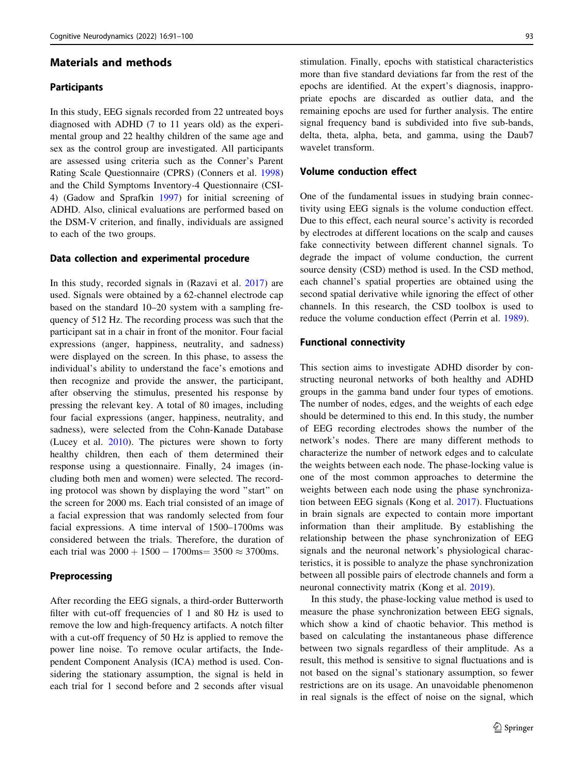## Materials and methods

#### **Participants**

In this study, EEG signals recorded from 22 untreated boys diagnosed with ADHD (7 to 11 years old) as the experimental group and 22 healthy children of the same age and sex as the control group are investigated. All participants are assessed using criteria such as the Conner's Parent Rating Scale Questionnaire (CPRS) (Conners et al. [1998\)](#page-8-0) and the Child Symptoms Inventory-4 Questionnaire (CSI-4) (Gadow and Sprafkin [1997](#page-8-0)) for initial screening of ADHD. Also, clinical evaluations are performed based on the DSM-V criterion, and finally, individuals are assigned to each of the two groups.

#### Data collection and experimental procedure

In this study, recorded signals in (Razavi et al. [2017\)](#page-9-0) are used. Signals were obtained by a 62-channel electrode cap based on the standard 10–20 system with a sampling frequency of 512 Hz. The recording process was such that the participant sat in a chair in front of the monitor. Four facial expressions (anger, happiness, neutrality, and sadness) were displayed on the screen. In this phase, to assess the individual's ability to understand the face's emotions and then recognize and provide the answer, the participant, after observing the stimulus, presented his response by pressing the relevant key. A total of 80 images, including four facial expressions (anger, happiness, neutrality, and sadness), were selected from the Cohn-Kanade Database (Lucey et al. [2010\)](#page-8-0). The pictures were shown to forty healthy children, then each of them determined their response using a questionnaire. Finally, 24 images (including both men and women) were selected. The recording protocol was shown by displaying the word ''start'' on the screen for 2000 ms. Each trial consisted of an image of a facial expression that was randomly selected from four facial expressions. A time interval of 1500–1700ms was considered between the trials. Therefore, the duration of each trial was  $2000 + 1500 - 1700$ ms=  $3500 \approx 3700$ ms.

## Preprocessing

After recording the EEG signals, a third-order Butterworth filter with cut-off frequencies of 1 and 80 Hz is used to remove the low and high-frequency artifacts. A notch filter with a cut-off frequency of 50 Hz is applied to remove the power line noise. To remove ocular artifacts, the Independent Component Analysis (ICA) method is used. Considering the stationary assumption, the signal is held in each trial for 1 second before and 2 seconds after visual stimulation. Finally, epochs with statistical characteristics more than five standard deviations far from the rest of the epochs are identified. At the expert's diagnosis, inappropriate epochs are discarded as outlier data, and the remaining epochs are used for further analysis. The entire signal frequency band is subdivided into five sub-bands, delta, theta, alpha, beta, and gamma, using the Daub7 wavelet transform.

## Volume conduction effect

One of the fundamental issues in studying brain connectivity using EEG signals is the volume conduction effect. Due to this effect, each neural source's activity is recorded by electrodes at different locations on the scalp and causes fake connectivity between different channel signals. To degrade the impact of volume conduction, the current source density (CSD) method is used. In the CSD method, each channel's spatial properties are obtained using the second spatial derivative while ignoring the effect of other channels. In this research, the CSD toolbox is used to reduce the volume conduction effect (Perrin et al. [1989\)](#page-9-0).

#### Functional connectivity

This section aims to investigate ADHD disorder by constructing neuronal networks of both healthy and ADHD groups in the gamma band under four types of emotions. The number of nodes, edges, and the weights of each edge should be determined to this end. In this study, the number of EEG recording electrodes shows the number of the network's nodes. There are many different methods to characterize the number of network edges and to calculate the weights between each node. The phase-locking value is one of the most common approaches to determine the weights between each node using the phase synchronization between EEG signals (Kong et al. [2017\)](#page-8-0). Fluctuations in brain signals are expected to contain more important information than their amplitude. By establishing the relationship between the phase synchronization of EEG signals and the neuronal network's physiological characteristics, it is possible to analyze the phase synchronization between all possible pairs of electrode channels and form a neuronal connectivity matrix (Kong et al. [2019](#page-8-0)).

In this study, the phase-locking value method is used to measure the phase synchronization between EEG signals, which show a kind of chaotic behavior. This method is based on calculating the instantaneous phase difference between two signals regardless of their amplitude. As a result, this method is sensitive to signal fluctuations and is not based on the signal's stationary assumption, so fewer restrictions are on its usage. An unavoidable phenomenon in real signals is the effect of noise on the signal, which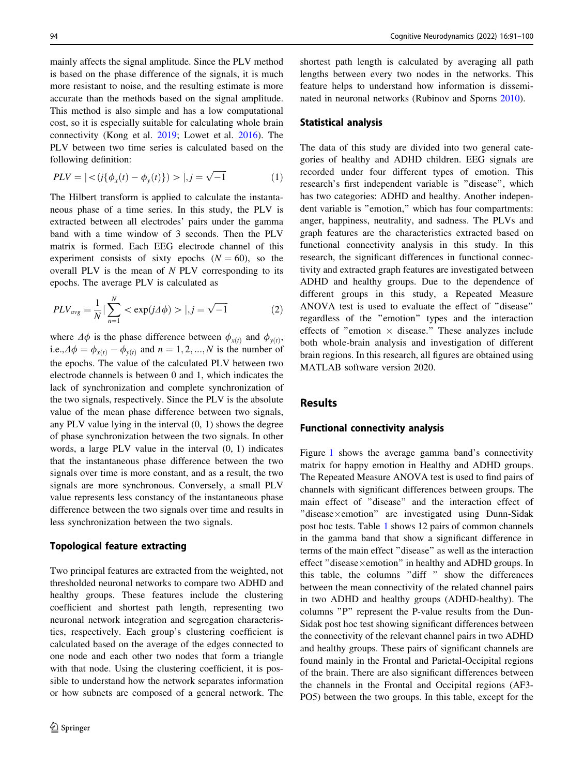mainly affects the signal amplitude. Since the PLV method is based on the phase difference of the signals, it is much more resistant to noise, and the resulting estimate is more accurate than the methods based on the signal amplitude. This method is also simple and has a low computational cost, so it is especially suitable for calculating whole brain connectivity (Kong et al. [2019](#page-8-0); Lowet et al. [2016](#page-8-0)). The PLV between two time series is calculated based on the following definition:

$$
PLV = \left| \langle j \{\phi_x(t) - \phi_y(t)\} \rangle \rangle \right|, j = \sqrt{-1}
$$
 (1)

The Hilbert transform is applied to calculate the instantaneous phase of a time series. In this study, the PLV is extracted between all electrodes' pairs under the gamma band with a time window of 3 seconds. Then the PLV matrix is formed. Each EEG electrode channel of this experiment consists of sixty epochs  $(N = 60)$ , so the overall PLV is the mean of N PLV corresponding to its epochs. The average PLV is calculated as

$$
PLV_{avg} = \frac{1}{N} | \sum_{n=1}^{N} < \exp(j\Delta\phi) > |, j = \sqrt{-1} \tag{2}
$$

where  $\Delta \phi$  is the phase difference between  $\phi_{x(t)}$  and  $\phi_{y(t)}$ , i.e., $\Delta \phi = \phi_{x(t)} - \phi_{y(t)}$  and  $n = 1, 2, ..., N$  is the number of the epochs. The value of the calculated PLV between two electrode channels is between 0 and 1, which indicates the lack of synchronization and complete synchronization of the two signals, respectively. Since the PLV is the absolute value of the mean phase difference between two signals, any PLV value lying in the interval (0, 1) shows the degree of phase synchronization between the two signals. In other words, a large PLV value in the interval (0, 1) indicates that the instantaneous phase difference between the two signals over time is more constant, and as a result, the two signals are more synchronous. Conversely, a small PLV value represents less constancy of the instantaneous phase difference between the two signals over time and results in less synchronization between the two signals.

## Topological feature extracting

Two principal features are extracted from the weighted, not thresholded neuronal networks to compare two ADHD and healthy groups. These features include the clustering coefficient and shortest path length, representing two neuronal network integration and segregation characteristics, respectively. Each group's clustering coefficient is calculated based on the average of the edges connected to one node and each other two nodes that form a triangle with that node. Using the clustering coefficient, it is possible to understand how the network separates information or how subnets are composed of a general network. The shortest path length is calculated by averaging all path lengths between every two nodes in the networks. This feature helps to understand how information is disseminated in neuronal networks (Rubinov and Sporns [2010](#page-9-0)).

### Statistical analysis

The data of this study are divided into two general categories of healthy and ADHD children. EEG signals are recorded under four different types of emotion. This research's first independent variable is ''disease'', which has two categories: ADHD and healthy. Another independent variable is ''emotion,'' which has four compartments: anger, happiness, neutrality, and sadness. The PLVs and graph features are the characteristics extracted based on functional connectivity analysis in this study. In this research, the significant differences in functional connectivity and extracted graph features are investigated between ADHD and healthy groups. Due to the dependence of different groups in this study, a Repeated Measure ANOVA test is used to evaluate the effect of ''disease'' regardless of the ''emotion'' types and the interaction effects of "emotion  $\times$  disease." These analyzes include both whole-brain analysis and investigation of different brain regions. In this research, all figures are obtained using MATLAB software version 2020.

## Results

#### Functional connectivity analysis

Figure [1](#page-4-0) shows the average gamma band's connectivity matrix for happy emotion in Healthy and ADHD groups. The Repeated Measure ANOVA test is used to find pairs of channels with significant differences between groups. The main effect of ''disease'' and the interaction effect of  $"disease \times emotion"$  are investigated using Dunn-Sidak post hoc tests. Table [1](#page-6-0) shows 12 pairs of common channels in the gamma band that show a significant difference in terms of the main effect ''disease'' as well as the interaction effect "disease $\times$ emotion" in healthy and ADHD groups. In this table, the columns ''diff '' show the differences between the mean connectivity of the related channel pairs in two ADHD and healthy groups (ADHD-healthy). The columns ''P'' represent the P-value results from the Dun-Sidak post hoc test showing significant differences between the connectivity of the relevant channel pairs in two ADHD and healthy groups. These pairs of significant channels are found mainly in the Frontal and Parietal-Occipital regions of the brain. There are also significant differences between the channels in the Frontal and Occipital regions (AF3- PO5) between the two groups. In this table, except for the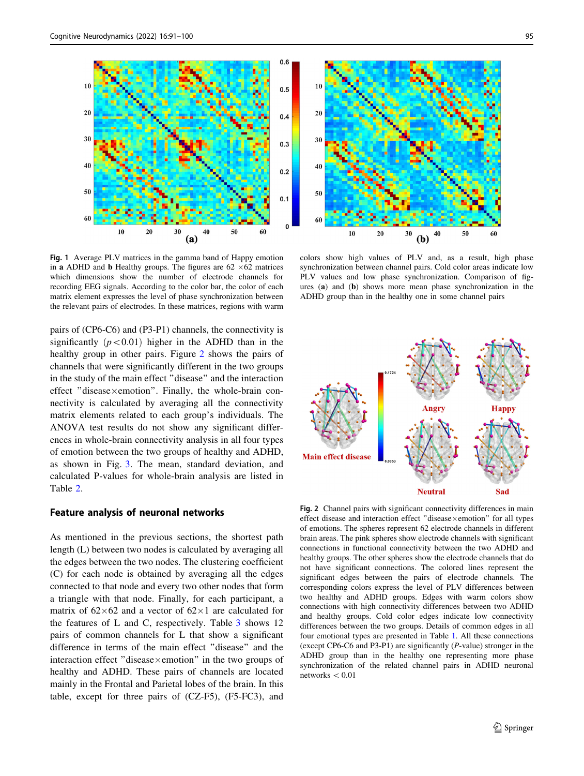<span id="page-4-0"></span>

Fig. 1 Average PLV matrices in the gamma band of Happy emotion in a ADHD and **b** Healthy groups. The figures are  $62 \times 62$  matrices which dimensions show the number of electrode channels for recording EEG signals. According to the color bar, the color of each matrix element expresses the level of phase synchronization between the relevant pairs of electrodes. In these matrices, regions with warm

pairs of (CP6-C6) and (P3-P1) channels, the connectivity is significantly  $(p<0.01)$  higher in the ADHD than in the healthy group in other pairs. Figure 2 shows the pairs of channels that were significantly different in the two groups in the study of the main effect ''disease'' and the interaction effect "disease $\times$ emotion". Finally, the whole-brain connectivity is calculated by averaging all the connectivity matrix elements related to each group's individuals. The ANOVA test results do not show any significant differences in whole-brain connectivity analysis in all four types of emotion between the two groups of healthy and ADHD, as shown in Fig. [3.](#page-5-0) The mean, standard deviation, and calculated P-values for whole-brain analysis are listed in Table [2](#page-7-0).

## Feature analysis of neuronal networks

As mentioned in the previous sections, the shortest path length (L) between two nodes is calculated by averaging all the edges between the two nodes. The clustering coefficient (C) for each node is obtained by averaging all the edges connected to that node and every two other nodes that form a triangle with that node. Finally, for each participant, a matrix of  $62\times62$  and a vector of  $62\times1$  are calculated for the features of L and C, respectively. Table  $\frac{3}{3}$  $\frac{3}{3}$  $\frac{3}{3}$  shows 12 pairs of common channels for L that show a significant difference in terms of the main effect ''disease'' and the interaction effect "disease $\times$ emotion" in the two groups of healthy and ADHD. These pairs of channels are located mainly in the Frontal and Parietal lobes of the brain. In this table, except for three pairs of (CZ-F5), (F5-FC3), and



colors show high values of PLV and, as a result, high phase synchronization between channel pairs. Cold color areas indicate low PLV values and low phase synchronization. Comparison of figures (a) and (b) shows more mean phase synchronization in the ADHD group than in the healthy one in some channel pairs



Fig. 2 Channel pairs with significant connectivity differences in main effect disease and interaction effect "disease $\times$ emotion" for all types of emotions. The spheres represent 62 electrode channels in different brain areas. The pink spheres show electrode channels with significant connections in functional connectivity between the two ADHD and healthy groups. The other spheres show the electrode channels that do not have significant connections. The colored lines represent the significant edges between the pairs of electrode channels. The corresponding colors express the level of PLV differences between two healthy and ADHD groups. Edges with warm colors show connections with high connectivity differences between two ADHD and healthy groups. Cold color edges indicate low connectivity differences between the two groups. Details of common edges in all four emotional types are presented in Table [1.](#page-6-0) All these connections (except CP6-C6 and P3-P1) are significantly (P-value) stronger in the ADHD group than in the healthy one representing more phase synchronization of the related channel pairs in ADHD neuronal networks  $< 0.01$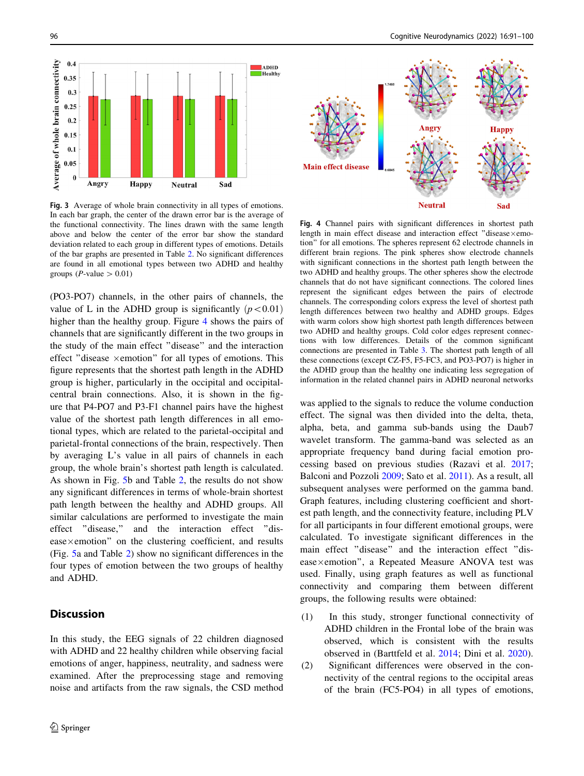<span id="page-5-0"></span>

Fig. 3 Average of whole brain connectivity in all types of emotions. In each bar graph, the center of the drawn error bar is the average of the functional connectivity. The lines drawn with the same length above and below the center of the error bar show the standard deviation related to each group in different types of emotions. Details of the bar graphs are presented in Table [2.](#page-7-0) No significant differences are found in all emotional types between two ADHD and healthy groups (*P*-value  $> 0.01$ )

(PO3-PO7) channels, in the other pairs of channels, the value of L in the ADHD group is significantly  $(p<0.01)$ higher than the healthy group. Figure 4 shows the pairs of channels that are significantly different in the two groups in the study of the main effect ''disease'' and the interaction effect "disease  $\times$ emotion" for all types of emotions. This figure represents that the shortest path length in the ADHD group is higher, particularly in the occipital and occipitalcentral brain connections. Also, it is shown in the figure that P4-PO7 and P3-F1 channel pairs have the highest value of the shortest path length differences in all emotional types, which are related to the parietal-occipital and parietal-frontal connections of the brain, respectively. Then by averaging L's value in all pairs of channels in each group, the whole brain's shortest path length is calculated. As shown in Fig. [5](#page-6-0)b and Table [2](#page-7-0), the results do not show any significant differences in terms of whole-brain shortest path length between the healthy and ADHD groups. All similar calculations are performed to investigate the main effect ''disease,'' and the interaction effect ''dis $e$ ase $\times$ emotion" on the clustering coefficient, and results (Fig. [5](#page-6-0)a and Table [2\)](#page-7-0) show no significant differences in the four types of emotion between the two groups of healthy and ADHD.

## **Discussion**

In this study, the EEG signals of 22 children diagnosed with ADHD and 22 healthy children while observing facial emotions of anger, happiness, neutrality, and sadness were examined. After the preprocessing stage and removing noise and artifacts from the raw signals, the CSD method



Fig. 4 Channel pairs with significant differences in shortest path length in main effect disease and interaction effect "disease $\times$ emotion'' for all emotions. The spheres represent 62 electrode channels in different brain regions. The pink spheres show electrode channels with significant connections in the shortest path length between the two ADHD and healthy groups. The other spheres show the electrode channels that do not have significant connections. The colored lines represent the significant edges between the pairs of electrode channels. The corresponding colors express the level of shortest path length differences between two healthy and ADHD groups. Edges with warm colors show high shortest path length differences between two ADHD and healthy groups. Cold color edges represent connections with low differences. Details of the common significant connections are presented in Table [3](#page-7-0). The shortest path length of all these connections (except CZ-F5, F5-FC3, and PO3-PO7) is higher in the ADHD group than the healthy one indicating less segregation of information in the related channel pairs in ADHD neuronal networks

was applied to the signals to reduce the volume conduction effect. The signal was then divided into the delta, theta, alpha, beta, and gamma sub-bands using the Daub7 wavelet transform. The gamma-band was selected as an appropriate frequency band during facial emotion processing based on previous studies (Razavi et al. [2017](#page-9-0); Balconi and Pozzoli [2009](#page-8-0); Sato et al. [2011\)](#page-9-0). As a result, all subsequent analyses were performed on the gamma band. Graph features, including clustering coefficient and shortest path length, and the connectivity feature, including PLV for all participants in four different emotional groups, were calculated. To investigate significant differences in the main effect ''disease'' and the interaction effect ''disease×emotion", a Repeated Measure ANOVA test was used. Finally, using graph features as well as functional connectivity and comparing them between different groups, the following results were obtained:

- (1) In this study, stronger functional connectivity of ADHD children in the Frontal lobe of the brain was observed, which is consistent with the results observed in (Barttfeld et al. [2014](#page-8-0); Dini et al. [2020](#page-8-0)).
- (2) Significant differences were observed in the connectivity of the central regions to the occipital areas of the brain (FC5-PO4) in all types of emotions,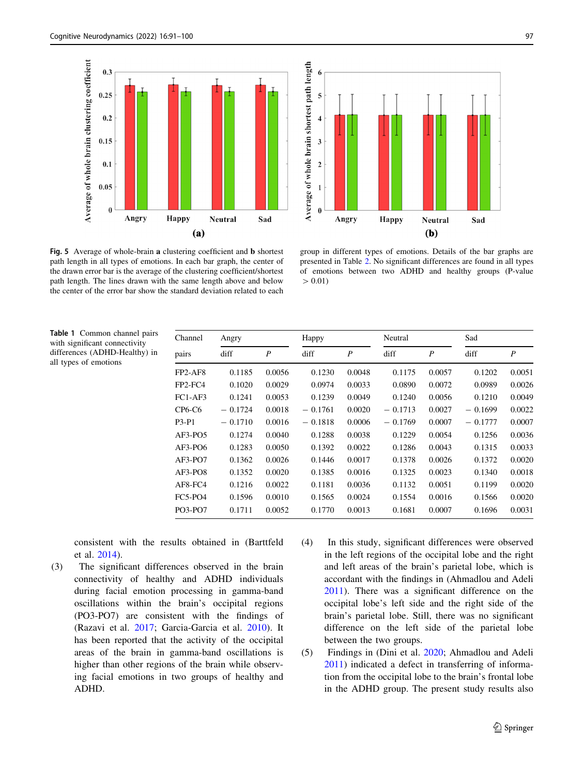<span id="page-6-0"></span>



Fig. 5 Average of whole-brain a clustering coefficient and **b** shortest path length in all types of emotions. In each bar graph, the center of the drawn error bar is the average of the clustering coefficient/shortest path length. The lines drawn with the same length above and below the center of the error bar show the standard deviation related to each

group in different types of emotions. Details of the bar graphs are presented in Table [2](#page-7-0). No significant differences are found in all types of emotions between two ADHD and healthy groups (P-value  $> 0.01$ 

Table 1 Common channel pairs with significant connectivity differences (ADHD-Healthy) in all types of emotions

| Channel | Angry     |                  | Happy     |                  | Neutral   |                  | Sad       |                  |
|---------|-----------|------------------|-----------|------------------|-----------|------------------|-----------|------------------|
| pairs   | diff      | $\boldsymbol{P}$ | diff      | $\boldsymbol{P}$ | diff      | $\boldsymbol{P}$ | diff      | $\boldsymbol{P}$ |
| FP2-AF8 | 0.1185    | 0.0056           | 0.1230    | 0.0048           | 0.1175    | 0.0057           | 0.1202    | 0.0051           |
| FP2-FC4 | 0.1020    | 0.0029           | 0.0974    | 0.0033           | 0.0890    | 0.0072           | 0.0989    | 0.0026           |
| FC1-AF3 | 0.1241    | 0.0053           | 0.1239    | 0.0049           | 0.1240    | 0.0056           | 0.1210    | 0.0049           |
| CP6-C6  | $-0.1724$ | 0.0018           | $-0.1761$ | 0.0020           | $-0.1713$ | 0.0027           | $-0.1699$ | 0.0022           |
| P3-P1   | $-0.1710$ | 0.0016           | $-0.1818$ | 0.0006           | $-0.1769$ | 0.0007           | $-0.1777$ | 0.0007           |
| AF3-PO5 | 0.1274    | 0.0040           | 0.1288    | 0.0038           | 0.1229    | 0.0054           | 0.1256    | 0.0036           |
| AF3-PO6 | 0.1283    | 0.0050           | 0.1392    | 0.0022           | 0.1286    | 0.0043           | 0.1315    | 0.0033           |
| AF3-PO7 | 0.1362    | 0.0026           | 0.1446    | 0.0017           | 0.1378    | 0.0026           | 0.1372    | 0.0020           |
| AF3-PO8 | 0.1352    | 0.0020           | 0.1385    | 0.0016           | 0.1325    | 0.0023           | 0.1340    | 0.0018           |
| AF8-FC4 | 0.1216    | 0.0022           | 0.1181    | 0.0036           | 0.1132    | 0.0051           | 0.1199    | 0.0020           |
| FC5-PO4 | 0.1596    | 0.0010           | 0.1565    | 0.0024           | 0.1554    | 0.0016           | 0.1566    | 0.0020           |
| PO3-PO7 | 0.1711    | 0.0052           | 0.1770    | 0.0013           | 0.1681    | 0.0007           | 0.1696    | 0.0031           |

consistent with the results obtained in (Barttfeld et al. [2014](#page-8-0)).

- (3) The significant differences observed in the brain connectivity of healthy and ADHD individuals during facial emotion processing in gamma-band oscillations within the brain's occipital regions (PO3-PO7) are consistent with the findings of (Razavi et al. [2017](#page-9-0); Garcia-Garcia et al. [2010](#page-8-0)). It has been reported that the activity of the occipital areas of the brain in gamma-band oscillations is higher than other regions of the brain while observing facial emotions in two groups of healthy and ADHD.
- (4) In this study, significant differences were observed in the left regions of the occipital lobe and the right and left areas of the brain's parietal lobe, which is accordant with the findings in (Ahmadlou and Adeli [2011\)](#page-8-0). There was a significant difference on the occipital lobe's left side and the right side of the brain's parietal lobe. Still, there was no significant difference on the left side of the parietal lobe between the two groups.
- (5) Findings in (Dini et al. [2020](#page-8-0); Ahmadlou and Adeli [2011\)](#page-8-0) indicated a defect in transferring of information from the occipital lobe to the brain's frontal lobe in the ADHD group. The present study results also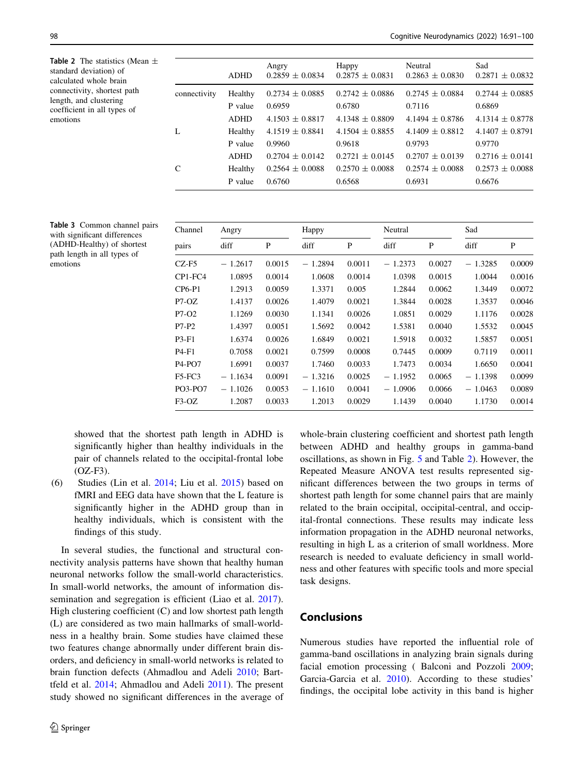<span id="page-7-0"></span>**Table 2** The statistics (Mean  $\pm$ standard deviation) of calculated whole brain connectivity, shortest path length, and clustering coefficient in all types of emotions

|              | <b>ADHD</b> | Angry<br>$0.2859 \pm 0.0834$ | Happy<br>$0.2875 \pm 0.0831$ | Neutral<br>$0.2863 \pm 0.0830$ | Sad<br>$0.2871 \pm 0.0832$ |
|--------------|-------------|------------------------------|------------------------------|--------------------------------|----------------------------|
| connectivity | Healthy     | $0.2734 \pm 0.0885$          | $0.2742 \pm 0.0886$          | $0.2745 \pm 0.0884$            | $0.2744 \pm 0.0885$        |
|              | P value     | 0.6959                       | 0.6780                       | 0.7116                         | 0.6869                     |
|              | <b>ADHD</b> | $4.1503 \pm 0.8817$          | $4.1348 \pm 0.8809$          | $4.1494 \pm 0.8786$            | $4.1314 \pm 0.8778$        |
| L            | Healthy     | $4.1519 \pm 0.8841$          | $4.1504 \pm 0.8855$          | $4.1409 \pm 0.8812$            | $4.1407 \pm 0.8791$        |
|              | P value     | 0.9960                       | 0.9618                       | 0.9793                         | 0.9770                     |
|              | <b>ADHD</b> | $0.2704 \pm 0.0142$          | $0.2721 \pm 0.0145$          | $0.2707 \pm 0.0139$            | $0.2716 \pm 0.0141$        |
| C            | Healthy     | $0.2564 \pm 0.0088$          | $0.2570 \pm 0.0088$          | $0.2574 \pm 0.0088$            | $0.2573 \pm 0.0088$        |
|              | P value     | 0.6760                       | 0.6568                       | 0.6931                         | 0.6676                     |
|              |             |                              |                              |                                |                            |

| Table 3 Common channel pairs |
|------------------------------|
| with significant differences |
| (ADHD-Healthy) of shortest   |
| path length in all types of  |
| emotions                     |
|                              |

| Channel<br>pairs | Angry     |        | Happy     |        | Neutral   |        | Sad       |        |
|------------------|-----------|--------|-----------|--------|-----------|--------|-----------|--------|
|                  | diff      | P      | diff      | P      | diff      | P      | diff      | P      |
| CZ-F5            | $-1.2617$ | 0.0015 | $-1.2894$ | 0.0011 | $-1.2373$ | 0.0027 | $-1.3285$ | 0.0009 |
| CP1-FC4          | 1.0895    | 0.0014 | 1.0608    | 0.0014 | 1.0398    | 0.0015 | 1.0044    | 0.0016 |
| $CP6-P1$         | 1.2913    | 0.0059 | 1.3371    | 0.005  | 1.2844    | 0.0062 | 1.3449    | 0.0072 |
| P7-OZ            | 1.4137    | 0.0026 | 1.4079    | 0.0021 | 1.3844    | 0.0028 | 1.3537    | 0.0046 |
| P7-O2            | 1.1269    | 0.0030 | 1.1341    | 0.0026 | 1.0851    | 0.0029 | 1.1176    | 0.0028 |
| P7-P2            | 1.4397    | 0.0051 | 1.5692    | 0.0042 | 1.5381    | 0.0040 | 1.5532    | 0.0045 |
| P3-F1            | 1.6374    | 0.0026 | 1.6849    | 0.0021 | 1.5918    | 0.0032 | 1.5857    | 0.0051 |
| P4-F1            | 0.7058    | 0.0021 | 0.7599    | 0.0008 | 0.7445    | 0.0009 | 0.7119    | 0.0011 |
| P4-PO7           | 1.6991    | 0.0037 | 1.7460    | 0.0033 | 1.7473    | 0.0034 | 1.6650    | 0.0041 |
| $F5-FC3$         | $-1.1634$ | 0.0091 | $-1.3216$ | 0.0025 | $-1.1952$ | 0.0065 | $-1.1398$ | 0.0099 |
| PO3-PO7          | $-1.1026$ | 0.0053 | $-1.1610$ | 0.0041 | $-1.0906$ | 0.0066 | $-1.0463$ | 0.0089 |
| F3-OZ            | 1.2087    | 0.0033 | 1.2013    | 0.0029 | 1.1439    | 0.0040 | 1.1730    | 0.0014 |

showed that the shortest path length in ADHD is significantly higher than healthy individuals in the pair of channels related to the occipital-frontal lobe (OZ-F3).

(6) Studies (Lin et al. [2014;](#page-8-0) Liu et al. [2015\)](#page-8-0) based on fMRI and EEG data have shown that the L feature is significantly higher in the ADHD group than in healthy individuals, which is consistent with the findings of this study.

In several studies, the functional and structural connectivity analysis patterns have shown that healthy human neuronal networks follow the small-world characteristics. In small-world networks, the amount of information dis-semination and segregation is efficient (Liao et al. [2017](#page-8-0)). High clustering coefficient  $(C)$  and low shortest path length (L) are considered as two main hallmarks of small-worldness in a healthy brain. Some studies have claimed these two features change abnormally under different brain disorders, and deficiency in small-world networks is related to brain function defects (Ahmadlou and Adeli [2010](#page-8-0); Barttfeld et al. [2014;](#page-8-0) Ahmadlou and Adeli [2011\)](#page-8-0). The present study showed no significant differences in the average of whole-brain clustering coefficient and shortest path length between ADHD and healthy groups in gamma-band oscillations, as shown in Fig. [5](#page-6-0) and Table 2). However, the Repeated Measure ANOVA test results represented significant differences between the two groups in terms of shortest path length for some channel pairs that are mainly related to the brain occipital, occipital-central, and occipital-frontal connections. These results may indicate less information propagation in the ADHD neuronal networks, resulting in high L as a criterion of small worldness. More research is needed to evaluate deficiency in small worldness and other features with specific tools and more special task designs.

# Conclusions

Numerous studies have reported the influential role of gamma-band oscillations in analyzing brain signals during facial emotion processing ( Balconi and Pozzoli [2009](#page-8-0); Garcia-Garcia et al. [2010](#page-8-0)). According to these studies' findings, the occipital lobe activity in this band is higher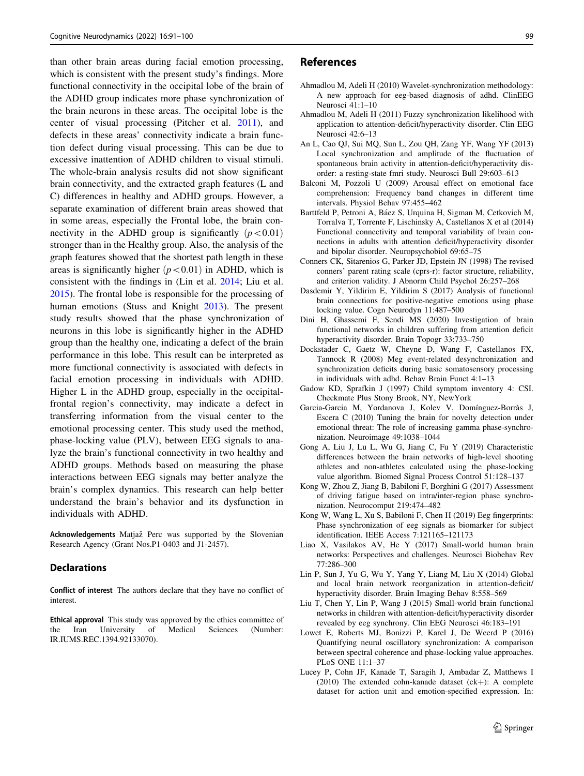<span id="page-8-0"></span>than other brain areas during facial emotion processing, which is consistent with the present study's findings. More functional connectivity in the occipital lobe of the brain of the ADHD group indicates more phase synchronization of the brain neurons in these areas. The occipital lobe is the center of visual processing (Pitcher et al. [2011](#page-9-0)), and defects in these areas' connectivity indicate a brain function defect during visual processing. This can be due to excessive inattention of ADHD children to visual stimuli. The whole-brain analysis results did not show significant brain connectivity, and the extracted graph features (L and C) differences in healthy and ADHD groups. However, a separate examination of different brain areas showed that in some areas, especially the Frontal lobe, the brain connectivity in the ADHD group is significantly  $(p<0.01)$ stronger than in the Healthy group. Also, the analysis of the graph features showed that the shortest path length in these areas is significantly higher  $(p<0.01)$  in ADHD, which is consistent with the findings in (Lin et al. 2014; Liu et al. 2015). The frontal lobe is responsible for the processing of human emotions (Stuss and Knight [2013](#page-9-0)). The present study results showed that the phase synchronization of neurons in this lobe is significantly higher in the ADHD group than the healthy one, indicating a defect of the brain performance in this lobe. This result can be interpreted as more functional connectivity is associated with defects in facial emotion processing in individuals with ADHD. Higher L in the ADHD group, especially in the occipitalfrontal region's connectivity, may indicate a defect in transferring information from the visual center to the emotional processing center. This study used the method, phase-locking value (PLV), between EEG signals to analyze the brain's functional connectivity in two healthy and ADHD groups. Methods based on measuring the phase interactions between EEG signals may better analyze the brain's complex dynamics. This research can help better understand the brain's behavior and its dysfunction in individuals with ADHD.

Acknowledgements Matjaž Perc was supported by the Slovenian Research Agency (Grant Nos.P1-0403 and J1-2457).

### Declarations

Conflict of interest The authors declare that they have no conflict of interest.

Ethical approval This study was approved by the ethics committee of the Iran University of Medical Sciences (Number: IR.IUMS.REC.1394.92133070).

## **References**

- Ahmadlou M, Adeli H (2010) Wavelet-synchronization methodology: A new approach for eeg-based diagnosis of adhd. ClinEEG Neurosci 41:1–10
- Ahmadlou M, Adeli H (2011) Fuzzy synchronization likelihood with application to attention-deficit/hyperactivity disorder. Clin EEG Neurosci 42:6–13
- An L, Cao QJ, Sui MQ, Sun L, Zou QH, Zang YF, Wang YF (2013) Local synchronization and amplitude of the fluctuation of spontaneous brain activity in attention-deficit/hyperactivity disorder: a resting-state fmri study. Neurosci Bull 29:603–613
- Balconi M, Pozzoli U (2009) Arousal effect on emotional face comprehension: Frequency band changes in different time intervals. Physiol Behav 97:455–462
- Barttfeld P, Petroni A, Báez S, Urquina H, Sigman M, Cetkovich M, Torralva T, Torrente F, Lischinsky A, Castellanos X et al (2014) Functional connectivity and temporal variability of brain connections in adults with attention deficit/hyperactivity disorder and bipolar disorder. Neuropsychobiol 69:65–75
- Conners CK, Sitarenios G, Parker JD, Epstein JN (1998) The revised conners' parent rating scale (cprs-r): factor structure, reliability, and criterion validity. J Abnorm Child Psychol 26:257–268
- Dasdemir Y, Yildirim E, Yildirim S (2017) Analysis of functional brain connections for positive-negative emotions using phase locking value. Cogn Neurodyn 11:487–500
- Dini H, Ghassemi F, Sendi MS (2020) Investigation of brain functional networks in children suffering from attention deficit hyperactivity disorder. Brain Topogr 33:733–750
- Dockstader C, Gaetz W, Cheyne D, Wang F, Castellanos FX, Tannock R (2008) Meg event-related desynchronization and synchronization deficits during basic somatosensory processing in individuals with adhd. Behav Brain Funct 4:1–13
- Gadow KD, Sprafkin J (1997) Child symptom inventory 4: CSI. Checkmate Plus Stony Brook, NY, NewYork
- Garcia-Garcia M, Yordanova J, Kolev V, Domínguez-Borràs J, Escera C (2010) Tuning the brain for novelty detection under emotional threat: The role of increasing gamma phase-synchronization. Neuroimage 49:1038–1044
- Gong A, Liu J, Lu L, Wu G, Jiang C, Fu Y (2019) Characteristic differences between the brain networks of high-level shooting athletes and non-athletes calculated using the phase-locking value algorithm. Biomed Signal Process Control 51:128–137
- Kong W, Zhou Z, Jiang B, Babiloni F, Borghini G (2017) Assessment of driving fatigue based on intra/inter-region phase synchronization. Neurocomput 219:474–482
- Kong W, Wang L, Xu S, Babiloni F, Chen H (2019) Eeg fingerprints: Phase synchronization of eeg signals as biomarker for subject identification. IEEE Access 7:121165–121173
- Liao X, Vasilakos AV, He Y (2017) Small-world human brain networks: Perspectives and challenges. Neurosci Biobehav Rev 77:286–300
- Lin P, Sun J, Yu G, Wu Y, Yang Y, Liang M, Liu X (2014) Global and local brain network reorganization in attention-deficit/ hyperactivity disorder. Brain Imaging Behav 8:558–569
- Liu T, Chen Y, Lin P, Wang J (2015) Small-world brain functional networks in children with attention-deficit/hyperactivity disorder revealed by eeg synchrony. Clin EEG Neurosci 46:183–191
- Lowet E, Roberts MJ, Bonizzi P, Karel J, De Weerd P (2016) Quantifying neural oscillatory synchronization: A comparison between spectral coherence and phase-locking value approaches. PLoS ONE 11:1–37
- Lucey P, Cohn JF, Kanade T, Saragih J, Ambadar Z, Matthews I  $(2010)$  The extended cohn-kanade dataset  $(ck+)$ : A complete dataset for action unit and emotion-specified expression. In: